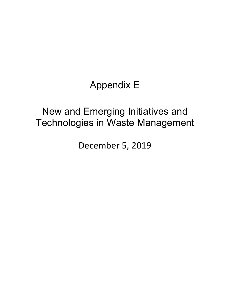Appendix E

# New and Emerging Initiatives and Technologies in Waste Management

December 5, 2019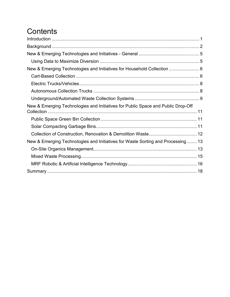# **Contents**

| New & Emerging Technologies and Initiatives for Household Collection  6          |
|----------------------------------------------------------------------------------|
|                                                                                  |
|                                                                                  |
|                                                                                  |
|                                                                                  |
| New & Emerging Technologies and Initiatives for Public Space and Public Drop-Off |
|                                                                                  |
|                                                                                  |
|                                                                                  |
|                                                                                  |
| New & Emerging Technologies and Initiatives for Waste Sorting and Processing 13  |
|                                                                                  |
|                                                                                  |
|                                                                                  |
|                                                                                  |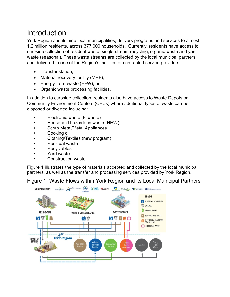### <span id="page-2-0"></span>**Introduction**

York Region and its nine local municipalities, delivers programs and services to almost 1.2 million residents, across 377,000 households. Currently, residents have access to curbside collection of residual waste, single-stream recycling, organic waste and yard waste (seasonal). These waste streams are collected by the local municipal partners and delivered to one of the Region's facilities or contracted service providers;

- Transfer station:
- Material recovery facility (MRF);
- Energy-from-waste (EFW); or,
- Organic waste processing facilities.

In addition to curbside collection, residents also have access to Waste Depots or Community Environment Centers (CECs) where additional types of waste can be disposed or diverted including:

- Electronic waste (E-waste)
- Household hazardous waste (HHW)
- Scrap Metal/Metal Appliances
- Cooking oil
- Clothing/Textiles (new program)
- Residual waste
- **Recyclables**
- Yard waste
- Construction waste

Figure 1 illustrates the type of materials accepted and collected by the local municipal partners, as well as the transfer and processing services provided by York Region.

Figure 1: Waste Flows within York Region and its Local Municipal Partners

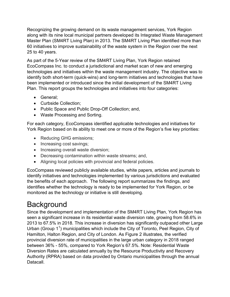Recognizing the growing demand on its waste management services, York Region along with its nine local municipal partners developed its Integrated Waste Management Master Plan (SM4RT Living Plan) in 2013. The SM4RT Living Plan identified more than 60 initiatives to improve sustainability of the waste system in the Region over the next 25 to 40 years.

As part of the 5-Year review of the SM4RT Living Plan, York Region retained EcoCompass Inc. to conduct a jurisdictional and market scan of new and emerging technologies and initiatives within the waste management industry. The objective was to identify both short-term (quick-wins) and long-term initiatives and technologies that have been implemented or introduced since the initial development of the SM4RT Living Plan. This report groups the technologies and initiatives into four categories:

- General;
- Curbside Collection;
- Public Space and Public Drop-Off Collection; and,
- Waste Processing and Sorting.

For each category, EcoCompass identified applicable technologies and initiatives for York Region based on its ability to meet one or more of the Region's five key priorities:

- Reducing GHG emissions;
- Increasing cost savings;
- Increasing overall waste diversion;
- Decreasing contamination within waste streams; and,
- Aligning local policies with provincial and federal policies.

EcoCompass reviewed publicly available studies, white papers, articles and journals to identify initiatives and technologies implemented by various jurisdictions and evaluated the benefits of each approach. The following report summarizes the findings, and identifies whether the technology is ready to be implemented for York Region, or be monitored as the technology or initiative is still developing.

### <span id="page-3-0"></span>**Background**

Since the development and implementation of the SM4RT Living Plan, York Region has seen a significant increase in its residential waste diversion rate, growing from 58.6% in 2013 to 67.5% in 2018. This increase in diversion has significantly outpaced other Large Urban (Group [1](#page-23-0)<sup>1</sup>) municipalities which include the City of Toronto, Peel Region, City of Hamilton, Halton Region, and City of London. As Figure 2 illustrates, the verified provincial diversion rate of municipalities in the large urban category in 2018 ranged between 36% - 55%, compared to York Region's 67.5%. Note: Residential Waste Diversion Rates are calculated annually by the Resource Productivity and Recovery Authority (RPRA) based on data provided by Ontario municipalities through the annual Datacall.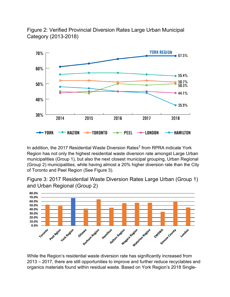Figure 2: Verified Provincial Diversion Rates Large Urban Municipal Category (2013-2018)



In addition, the [2](#page-23-1)017 Residential Waste Diversion Rates $2$  from RPRA indicate York Region has not only the highest residential waste diversion rate amongst Large Urban municipalities (Group 1), but also the next closest municipal grouping, Urban Regional (Group 2) municipalities, while having almost a 20% higher diversion rate than the City of Toronto and Peel Region (See Figure 3).

Figure 3: 2017 Residential Waste Diversion Rates Large Urban (Group 1) and Urban Regional (Group 2)



While the Region's residential waste diversion rate has significantly increased from 2013 – 2017, there are still opportunities to improve and further reduce recyclables and organics materials found within residual waste. Based on York Region's 2018 Single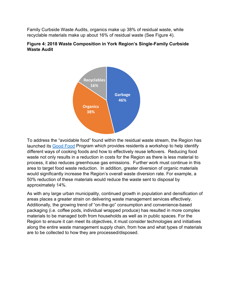Family Curbside Waste Audits, organics make up 38% of residual waste, while recyclable materials make up about 16% of residual waste (See Figure 4).

### **Figure 4: 2018 Waste Composition in York Region's Single-Family Curbside Waste Audit**



To address the "avoidable food" found within the residual waste stream, the Region has launched its [Good Food](https://www.york.ca/wps/portal/yorkhome/health/yr/nutrition/goodfood/goodfood/!ut/p/z1/tVZNc5swEP0tPfjIaJH4kI-EugFc252kjW0uHhkEpjHggOLE_76SOxNfamDqiBmQVuw-rZ52noRitEJxxY5FzkRRV2wv7XXsbELvPgyCKUQLi_rgwcKLsEthMjbRE4pRfEiKFK0Ty83wdmsZrksdw2I2N8ZAtoZjg00skjpj21TeSSUOYofWp2aT1JXglRjBqW6epdGKQryeB3Z1yeWXs73YjaB6FU2hUhpBXtdpJt9LDy27kqRTF8Xda_gbD1ceD7riFfyyj6S4G36pWOnJ4OyAseUEpg8RBAsK4Tf3h_2VBib4do_DFKO1TNK9uopHycKx4G_oV1U3pdz4x8u-psymCU8yw7QdZlgpJgYDTgxni2maWcQapy4KoG8G98YZuuEx1gtv64XXS05ofgp8FIJvehL-nkwIeDj06R2J6HwOerMnWuE9vZXj6SXHu7Vyoj51k0dA8fvlJfakciu5fhdoNUC61XDD87NmH_asaht-qBvRsiptRcOE_MXbERQSJVdm-sZawUtWsZyXEqdUZqMiBzmpNHEz82e5XD0TO6Ooshqtrs6MVoNAhzh1btDkoaO8Bp2YPfCmXniiFd4FvfB6uXc_h5yrsqqX-7le7ud6uZ_rrfunW8mJ-i6d_ymrw27E_xbDjxi0unh-9A5lScmpKIznB_r2M9vl5WY2IXZXsz9-v1O-pb_tbZa09b78Ac-SWm0!/dz/d5/L2dBISEvZ0FBIS9nQSEh/#.XYK96ChKiUk) Program which provides residents a workshop to help identify different ways of cooking foods and how to effectively reuse leftovers. Reducing food waste not only results in a reduction in costs for the Region as there is less material to process, it also reduces greenhouse gas emissions. Further work must continue in this area to target food waste reduction. In addition, greater diversion of organic materials would significantly increase the Region's overall waste diversion rate. For example, a 50% reduction of these materials would reduce the waste sent to disposal by approximately 14%.

As with any large urban municipality, continued growth in population and densification of areas places a greater strain on delivering waste management services effectively. Additionally, the growing trend of "on-the-go" consumption and convenience-based packaging (i.e. coffee pods, individual wrapped produce) has resulted in more complex materials to be managed both from households as well as in public spaces. For the Region to ensure it can meet its objectives, it must consider technologies and initiatives along the entire waste management supply chain, from how and what types of materials are to be collected to how they are processed/disposed.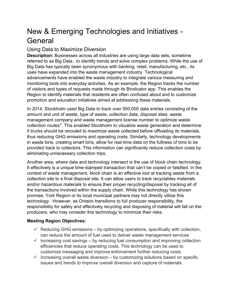### <span id="page-6-0"></span>New & Emerging Technologies and Initiatives - **General**

### <span id="page-6-1"></span>Using Data to Maximize Diversion

**Description:** Businesses across all industries are using large data sets, sometime referred to as Big Data, to identify trends and solve complex problems. While the use of Big Data has typically been synonymous with banking, retail, manufacturing, etc., its uses have expanded into the waste management industry. Technological advancements have enabled the waste industry to integrate various measuring and monitoring tools into everyday activities. As an example, the Region tracks the number of visitors and types of requests made through its Bindicator app. This enables the Region to identify materials that residents are often confused about and to customize promotion and education initiatives aimed at addressing these materials.

In 2014, Stockholm used Big Data to track over 500,000 data entries consisting of the amount and unit of waste, type of waste, collection data, disposal sites, waste management company and waste management license number to optimize waste collection routes $^3$  $^3$ . This enabled Stockholm to visualize waste generation and determine if trucks should be rerouted to maximize waste collected before offloading its materials, thus reducing GHG emissions and operating costs. Similarly, technology developments in waste bins, creating smart bins, allow for real-time data on the fullness of bins to be provided back to collectors. This information can significantly reduce collection costs by eliminating unnecessary collection trips.

Another area, where data and technology intersect is the use of block chain technology. It effectively is a unique time-stamped transaction that can't be copied or falsified. In the context of waste management, block chain is an effective tool at tracking waste from a collection site to a final disposal site. It can allow users to track recyclables materials and/or hazardous materials to ensure their proper recycling/disposal by tracking all of the transactions involved within the supply chain. While this technology has shown promise, York Region or its local municipal partners may not directly utilize this technology. However, as Ontario transitions to full producer responsibility, the responsibility for safely and effectively recycling and disposing of material will fall on the producers, who may consider this technology to minimize their risks.

### **Meeting Region Objectives:**

- $\checkmark$  Reducing GHG emissions by optimizing operations, specifically with collection, can reduce the amount of fuel used to deliver waste management services
- $\checkmark$  Increasing cost savings by reducing fuel consumption and improving collection efficiencies that reduce operating costs. This technology can be used to customize messaging and improve enforcement further reducing costs.
- $\checkmark$  Increasing overall waste diversion by customizing solutions based on specific issues and trends to improve overall diversion and capture of materials.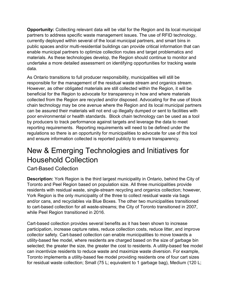**Opportunity:** Collecting relevant data will be vital for the Region and its local municipal partners to address specific waste management issues. The use of RFID technology, currently deployed within several of the local municipal partners, and smart bins in public spaces and/or multi-residential buildings can provide critical information that can enable municipal partners to optimize collection routes and target problematics and materials. As these technologies develop, the Region should continue to monitor and undertake a more detailed assessment on identifying opportunities for tracking waste data.

As Ontario transitions to full producer responsibility, municipalities will still be responsible for the management of the residual waste stream and organics stream. However, as other obligated materials are still collected within the Region, it will be beneficial for the Region to advocate for transparency in how and where materials collected from the Region are recycled and/or disposed. Advocating for the use of block chain technology may be one avenue where the Region and its local municipal partners can be assured their materials will not end up illegally dumped or sent to facilities with poor environmental or health standards. Block chain technology can be used as a tool by producers to track performance against targets and leverage the data to meet reporting requirements. Reporting requirements will need to be defined under the regulations so there is an opportunity for municipalities to advocate for use of this tool and ensure information collected is reported publicly to ensure transparency.

### <span id="page-7-0"></span>New & Emerging Technologies and Initiatives for Household Collection

### <span id="page-7-1"></span>Cart-Based Collection

**Description:** York Region is the third largest municipality in Ontario, behind the City of Toronto and Peel Region based on population size. All three municipalities provide residents with residual waste, single-stream recycling and organics collection; however, York Region is the only municipality of the three to collect residual waste via bags and/or cans, and recyclables via Blue Boxes. The other two municipalities transitioned to cart-based collection for all waste-streams; the City of Toronto transitioned in 2007, while Peel Region transitioned in 2016.

Cart-based collection provides several benefits as it has been shown to increase participation, increase capture rates, reduce collection costs, reduce litter, and improve collector safety. Cart-based collection can enable municipalities to move towards a utility-based fee model, where residents are charged based on the size of garbage bin selected; the greater the size, the greater the cost to residents. A utility-based fee model can incentivize residents to reduce waste and maximize waste diversion. For example, Toronto implements a utility-based fee model providing residents one of four cart sizes for residual waste collection; Small (75 L; equivalent to 1 garbage bag), Medium (120 L;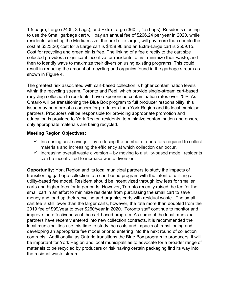1.5 bags), Large (240L; 3 bags), and Extra-Large (360 L; 4.5 bags). Residents electing to use the Small garbage cart will pay an annual fee of \$266.24 per year in 2020, while residents selecting the Medium size, the next size larger, will pay more than double the cost at \$323.20; cost for a Large cart is \$438.96 and an Extra-Large cart is \$509.15. Cost for recycling and green bin is free. The linking of a fee directly to the cart size selected provides a significant incentive for residents to first minimize their waste, and then to identify ways to maximize their diversion using existing programs. This could result in reducing the amount of recycling and organics found in the garbage stream as shown in Figure 4.

The greatest risk associated with cart-based collection is higher contamination levels within the recycling stream. Toronto and Peel, which provide single-stream cart-based recycling collection to residents, have experienced contamination rates over 25%. As Ontario will be transitioning the Blue Box program to full producer responsibility, this issue may be more of a concern for producers than York Region and its local municipal partners. Producers will be responsible for providing appropriate promotion and education is provided to York Region residents, to minimize contamination and ensure only appropriate materials are being recycled.

#### **Meeting Region Objectives:**

- $\checkmark$  Increasing cost savings by reducing the number of operators required to collect materials and increasing the efficiency at which collection can occur.
- $\checkmark$  Increasing overall waste diversion by moving to a utility-based model, residents can be incentivized to increase waste diversion.

**Opportunity:** York Region and its local municipal partners to study the impacts of transitioning garbage collection to a cart-based program with the intent of utilizing a utility-based fee model. Resident should be incentivized through low fees for smaller carts and higher fees for larger carts. However, Toronto recently raised the fee for the small cart in an effort to minimize residents from purchasing the small cart to save money and load up their recycling and organics carts with residual waste. The small cart fee is still lower than the larger carts, however, the rate more than doubled from the 2019 fee of \$99/year to over \$260/year in 2020. Toronto staff continue to monitor and improve the effectiveness of the cart-based program. As some of the local municipal partners have recently entered into new collection contracts, it is recommended the local municipalities use this time to study the costs and impacts of transitioning and developing an appropriate fee model prior to entering into the next round of collection contracts. Additionally, as Ontario transitions the Blue Box program to producers, it will be important for York Region and local municipalities to advocate for a broader range of materials to be recycled by producers or risk having certain packaging find its way into the residual waste stream.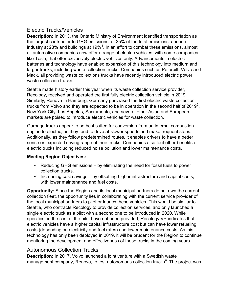### <span id="page-9-0"></span>Electric Trucks/Vehicles

**Description:** In 2013, the Ontario Ministry of Environment identified transportation as the largest contributor to GHG emissions, at 35% of the total emissions, ahead of industry at 28% and buildings at 19% $^{\rm 4}$  $^{\rm 4}$  $^{\rm 4}$ . In an effort to combat these emissions, almost all automotive companies now offer a range of electric vehicles, with some companies like Tesla, that offer exclusively electric vehicles only. Advancements in electric batteries and technology have enabled expansion of this technology into medium and larger trucks, including waste collection trucks. Companies such as Peterbilt, Volvo and Mack, all providing waste collections trucks have recently introduced electric power waste collection trucks.

Seattle made history earlier this year when its waste collection service provider, Recology, received and operated the first fully electric collection vehicle in 2019. Similarly, Renova in Hamburg, Germany purchased the first electric waste collection trucks from Volvo and they are expected to be in operation in the second half of 2019 $^5$  $^5$ . New York City, Los Angeles, Sacramento, and several other Asian and European markets are poised to introduce electric vehicles for waste collection.

Garbage trucks appear to be best suited for conversion from an internal combustion engine to electric, as they tend to drive at slower speeds and make frequent stops. Additionally, as they follow predetermined routes, it enables drivers to have a better sense on expected driving range of their trucks. Companies also tout other benefits of electric trucks including reduced noise pollution and lower maintenance costs.

#### **Meeting Region Objectives:**

- $\checkmark$  Reducing GHG emissions by eliminating the need for fossil fuels to power collection trucks.
- $\checkmark$  Increasing cost savings by offsetting higher infrastructure and capital costs, with lower maintenance and fuel costs.

**Opportunity:** Since the Region and its local municipal partners do not own the current collection fleet, the opportunity lies in collaborating with the current service provider of the local municipal partners to pilot or launch these vehicles. This would be similar to Seattle, who contracts Recology to provide collection services, and only launched a single electric truck as a pilot with a second one to be introduced in 2020. While specifics on the cost of the pilot have not been provided, Recology VP indicates that electric vehicles have a higher capital infrastructure cost but can have lower refueling costs (depending on electricity and fuel rates) and lower maintenance costs. As this technology has only been deployed in 2019, it will be prudent for the Region to continue monitoring the development and effectiveness of these trucks in the coming years.

### <span id="page-9-1"></span>Autonomous Collection Trucks

**Description:** In 2017, Volvo launched a joint venture with a Swedish waste management company, Renova, to test autonomous collection trucks $^{\rm 6}$  $^{\rm 6}$  $^{\rm 6}$ . The project was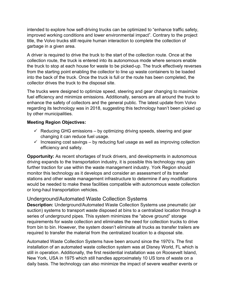intended to explore how self-driving trucks can be optimized to "enhance traffic safety, improved working conditions and lower environmental impact". Contrary to the project title, the Volvo trucks still require human interaction to complete the collection of garbage in a given area.

A driver is required to drive the truck to the start of the collection route. Once at the collection route, the truck is entered into its autonomous mode where sensors enable the truck to stop at each house for waste to be picked-up. The truck effectively reverses from the starting point enabling the collector to line up waste containers to be loaded into the back of the truck. Once the truck is full or the route has been completed, the collector drives the truck to the disposal site.

The trucks were designed to optimize speed, steering and gear changing to maximize fuel efficiency and minimize emissions. Additionally, sensors are all around the truck to enhance the safety of collectors and the general public. The latest update from Volvo regarding its technology was in 2018, suggesting this technology hasn't been picked up by other municipalities.

### **Meeting Region Objectives:**

- $\checkmark$  Reducing GHG emissions by optimizing driving speeds, steering and gear changing it can reduce fuel usage.
- $\checkmark$  Increasing cost savings by reducing fuel usage as well as improving collection efficiency and safety.

**Opportunity:** As recent shortages of truck drivers, and developments in autonomous driving expands to the transportation industry, it is possible this technology may gain further traction for use within the waste management industry. York Region should monitor this technology as it develops and consider an assessment of its transfer stations and other waste management infrastructure to determine if any modifications would be needed to make these facilities compatible with autonomous waste collection or long-haul transportation vehicles.

### <span id="page-10-0"></span>Underground/Automated Waste Collection Systems

**Description:** Underground/Automated Waste Collection Systems use pneumatic (air suction) systems to transport waste disposed at bins to a centralized location through a series of underground pipes. This system minimizes the "above ground" storage requirements for waste collection and eliminates the need for collection trucks to drive from bin to bin. However, the system doesn't eliminate all trucks as transfer trailers are required to transfer the material from the centralized location to a disposal site.

Automated Waste Collection Systems have been around since the 1970's. The first installation of an automated waste collection system was at Disney World, FL which is still in operation. Additionally, the first residential installation was on Roosevelt Island, New York, USA in 1975 which still handles approximately 10 US tons of waste on a daily basis. The technology can also minimize the impact of severe weather events or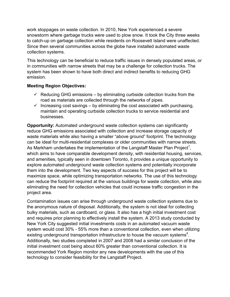work stoppages on waste collection. In 2010, New York experienced a severe snowstorm where garbage trucks were used to plow snow. It took the City three weeks to catch-up on garbage collection while residents on Roosevelt Island were unaffected. Since then several communities across the globe have installed automated waste collection systems.

This technology can be beneficial to reduce traffic issues in densely populated areas, or in communities with narrow streets that may be a challenge for collection trucks. The system has been shown to have both direct and indirect benefits to reducing GHG emission.

### **Meeting Region Objectives:**

- $\checkmark$  Reducing GHG emissions by eliminating curbside collection trucks from the road as materials are collected through the networks of pipes.
- $\checkmark$  Increasing cost savings by eliminating the cost associated with purchasing, maintain and operating curbside collection trucks to service residential and businesses.

**Opportunity:** Automated underground waste collection systems can significantly reduce GHG emissions associated with collection and increase storage capacity of waste materials while also having a smaller "above ground" footprint. The technology can be ideal for multi-residential complexes or older communities with narrow streets. As Markham undertakes the implementation of the Langstaff Master Plan Project<sup>[7](#page-23-6)</sup>, which aims to have comparable development density, with residential housing, services, and amenities, typically seen in downtown Toronto, it provides a unique opportunity to explore automated underground waste collection systems and potentially incorporate them into the development. Two key aspects of success for this project will be to maximize space, while optimizing transportation networks. The use of this technology can reduce the footprint required at the various buildings for waste collection, while also eliminating the need for collection vehicles that could increase traffic congestion in the project area.

Contamination issues can arise through underground waste collection systems due to the anonymous nature of disposal. Additionally, the system is not ideal for collecting bulky materials, such as cardboard, or glass. It also has a high initial investment cost and requires prior planning to effectively install the system. A 2013 study conducted by New York City suggested initial investments costs in an automated vacuum waste system would cost 30% - 55% more than a conventional collection, even when utilizing existing underground transportation infrastructure to house the vacuum systems $^8\!$  $^8\!$  $^8\!$ . Additionally, two studies completed in 2007 and 2008 had a similar conclusion of the initial investment cost being about 60% greater than conventional collection. It is recommended York Region monitor any new developments with the use of this technology to consider feasibility for the Langstaff Project.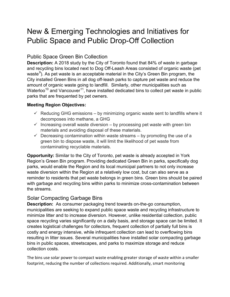### <span id="page-12-0"></span>New & Emerging Technologies and Initiatives for Public Space and Public Drop-Off Collection

### <span id="page-12-1"></span>Public Space Green Bin Collection

**Description:** A 2018 study by the City of Toronto found that 84% of waste in garbage and recycling bins located next to Dog Off-Leash Areas consisted of organic waste (pet waste $^9$  $^9$ ). As pet waste is an acceptable material in the City's Green Bin program, the City installed Green Bins in all dog off-leash parks to capture pet waste and reduce the amount of organic waste going to landfill. Similarly, other municipalities such as Waterloo<sup>[10](#page-23-9)</sup> and Vancouver<sup>11</sup>, have installed dedicated bins to collect pet waste in public parks that are frequented by pet owners.

#### **Meeting Region Objectives:**

- $\checkmark$  Reducing GHG emissions by minimizing organic waste sent to landfills where it decomposes into methane, a GHG
- $\checkmark$  Increasing overall waste diversion by processing pet waste with green bin materials and avoiding disposal of these materials.
- $\checkmark$  Decreasing contamination within waste streams by promoting the use of a green bin to dispose waste, it will limit the likelihood of pet waste from contaminating recyclable materials.

**Opportunity:** Similar to the City of Toronto, pet waste is already accepted in York Region's Green Bin program. Providing dedicated Green Bin in parks, specifically dog parks, would enable the Region and its local municipal partners to not only increase waste diversion within the Region at a relatively low cost, but can also serve as a reminder to residents that pet waste belongs in green bins. Green bins should be paired with garbage and recycling bins within parks to minimize cross-contamination between the streams.

### <span id="page-12-2"></span>Solar Compacting Garbage Bins

**Description:** As consumer packaging trend towards on-the-go consumption, municipalities are seeking to expand public space waste and recycling infrastructure to minimize litter and to increase diversion. However, unlike residential collection, public space recycling varies significantly on a daily basis, and storage space can be limited. It creates logistical challenges for collectors, frequent collection of partially full bins is costly and energy intensive, while infrequent collection can lead to overflowing bins resulting in litter issues. Several municipalities have installed solar compacting garbage bins in public spaces, streetscapes, and parks to maximize storage and reduce collection costs.

The bins use solar power to compact waste enabling greater storage of waste within a smaller footprint, reducing the number of collections required. Additionally, smart monitoring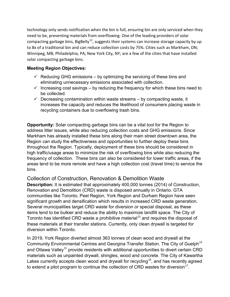technology only sends notification when the bin is full, ensuring bin are only serviced when they need to be, preventing materials from overflowing. One of the leading providers of solar compacting garbage bins, BigBelly<sup>[12](#page-23-11)</sup>, suggests their systems can increase storage capacity by up to 8x of a traditional bin and can reduce collection costs by 75%. Cities such as Markham, ON; Winnipeg, MB; Philadelphia, PA; New York City, NY; are a few of the cities that have installed solar compacting garbage bins.

### **Meeting Region Objectives:**

- $\checkmark$  Reducing GHG emissions by optimizing the servicing of these bins and eliminating unnecessary emissions associated with collection.
- $\checkmark$  Increasing cost savings by reducing the frequency for which these bins need to be collected.
- $\checkmark$  Decreasing contamination within waste streams by compacting waste, it increases the capacity and reduces the likelihood of consumers placing waste in recycling containers due to overflowing trash bins.

**Opportunity:** Solar compacting garbage bins can be a vital tool for the Region to address litter issues, while also reducing collection costs and GHG emissions. Since Markham has already installed these bins along their main street downtown area, the Region can study the effectiveness and opportunities to further deploy these bins throughout the Region. Typically, deployment of these bins should be considered in high traffic/usage areas to minimize the risk of overflowing bins while also reducing the frequency of collection. These bins can also be considered for lower traffic areas, if the areas tend to be more remote and have a high collection cost (travel time) to service the bins.

### <span id="page-13-0"></span>Collection of Construction, Renovation & Demolition Waste

**Description:** It is estimated that approximately 400,000 tonnes (2014) of Construction, Renovation and Demolition (CRD) waste is disposed annually in Ontario. GTA communities like Toronto, Peel Region, York Region and Durham Region have seen significant growth and densification which results in increased CRD waste generation. Several municipalities target CRD waste for diversion or special disposal, as these items tend to be bulkier and reduce the ability to maximize landfill space. The City of Toronto has identified CRD waste a prohibitive material $^{\rm 13}$  $^{\rm 13}$  $^{\rm 13}$  and requires the disposal of these materials at their transfer stations. Currently, only clean drywall is targeted for diversion within Toronto.

In 2019, York Region diverted almost 363 tonnes of clean wood and drywall at the Community Environmental Centres and Georgina Transfer Station. The City of Guelph<sup>[14](#page-23-13)</sup> and Ottawa Valley<sup>[15](#page-23-14)</sup> provide residents with additional opportunities to divert certain CRD materials such as unpainted drywall, shingles, wood and concrete. The City of Kawartha Lakes currently accepts clean wood and drywall for recycling<sup>[16](#page-23-15)</sup>, and has recently agreed to extend a pilot program to continue the collection of CRD wastes for diversion $^{17}$  $^{17}$  $^{17}$ .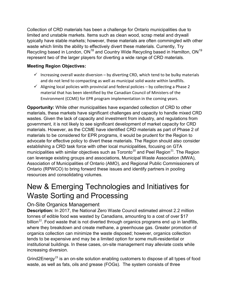Collection of CRD materials has been a challenge for Ontario municipalities due to limited and unstable markets. Items such as clean wood, scrap metal and drywall typically have stable markets; however, these materials are often commingled with other waste which limits the ability to effectively divert these materials. Currently, Try Recycling based in London,  $ON^{18}$  $ON^{18}$  $ON^{18}$  and Country Wide Recycling based in Hamilton,  $ON^{19}$  $ON^{19}$  $ON^{19}$ represent two of the larger players for diverting a wide range of CRD materials.

### **Meeting Region Objectives:**

- $\checkmark$  Increasing overall waste diversion by diverting CRD, which tend to be bulky materials and do not lend to compacting as well as municipal solid waste within landfills.
- $\checkmark$  Aligning local policies with provincial and federal policies by collecting a Phase 2 material that has been identified by the Canadian Council of Ministers of the Environment (CCME) for EPR program implementation in the coming years.

**Opportunity:** While other municipalities have expanded collection of CRD to other materials, these markets have significant challenges and capacity to handle mixed CRD wastes. Given the lack of capacity and investment from industry, and regulations from government, it is not likely to see significant development of market capacity for CRD materials. However, as the CCME have identified CRD materials as part of Phase 2 of materials to be considered for EPR programs, it would be prudent for the Region to advocate for effective policy to divert these materials. The Region should also consider establishing a CRD task force with other local municipalities, focusing on GTA municipalities with similar objectives such as  $T$ oronto<sup>[20](#page-23-19)</sup> and Peel Region<sup>[21](#page-23-20)</sup>. The Region can leverage existing groups and associations, Municipal Waste Association (MWA), Association of Municipalities of Ontario (AMO), and Regional Public Commissioners of Ontario (RPWCO) to bring forward these issues and identify partners in pooling resources and consolidating volumes.

### <span id="page-14-0"></span>New & Emerging Technologies and Initiatives for Waste Sorting and Processing

### <span id="page-14-1"></span>On-Site Organics Management

**Description:** In 2017, the National Zero Waste Council estimated almost 2.2 million tonnes of edible food was wasted by Canadians, amounting to a cost of over \$17 billion<sup>[22](#page-23-21)</sup>. Food waste that is not diverted through organics programs end up in landfills, where they breakdown and create methane, a greenhouse gas. Greater promotion of organics collection can minimize the waste disposed; however, organics collection tends to be expensive and may be a limited option for some multi-residential or institutional buildings. In these cases, on-site management may alleviate costs while increasing diversion.

Grind2Energy<sup>[23](#page-23-22)</sup> is an on-site solution enabling customers to dispose of all types of food waste, as well as fats, oils and grease (FOGs). The system consists of three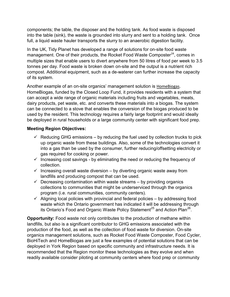components; the table, the disposer and the holding tank. As food waste is disposed into the table (sink), the waste is grounded into slurry and sent to a holding tank. Once full, a liquid waste hauler transports the slurry to an anaerobic digestion facility.

In the UK, Tidy Planet has developed a range of solutions for on-site food waste management. One of their products, the Rocket Food Waste Composter $^{24}$  $^{24}$  $^{24}$ , comes in multiple sizes that enable users to divert anywhere from 50 litres of food per week to 3.5 tonnes per day. Food waste is broken down on-site and the output is a nutrient rich compost. Additional equipment, such as a de-waterer can further increase the capacity of its system.

Another example of an on-site organics' management solution is **[HomeBiogas](https://www.homebiogas.com/)**. HomeBiogas, funded by the Closed Loop Fund, it provides residents with a system that can accept a wide range of organic materials including fruits and vegetables, meats, dairy products, pet waste, etc. and converts these materials into a biogas. The system can be connected to a stove that enables the conversion of the biogas produced to be used by the resident. This technology requires a fairly large footprint and would ideally be deployed in rural households or a large community center with significant food prep.

#### **Meeting Region Objectives:**

- $\checkmark$  Reducing GHG emissions by reducing the fuel used by collection trucks to pick up organic waste from these buildings. Also, some of the technologies convert it into a gas than be used by the consumer, further reducing/offsetting electricity or gas required for cooking or power.
- $\checkmark$  Increasing cost savings by eliminating the need or reducing the frequency of collection.
- $\checkmark$  Increasing overall waste diversion by diverting organic waste away from landfills and producing compost that can be used.
- $\checkmark$  Decreasing contamination within waste streams by providing organics collections to communities that might be underserviced through the organics program (i.e. rural communities, community centers).
- $\checkmark$  Aligning local policies with provincial and federal policies by addressing food waste which the Ontario government has indicated it will be addressing through its Ontario's Food and Organic Waste Policy Statement<sup>[25](#page-23-24)</sup> and Action Plan<sup>26</sup>.

**Opportunity:** Food waste not only contributes to the production of methane within landfills, but also is a significant contributor to GHG emissions associated with the production of the food, as well as the collection of food waste for diversion. On-site organics management solutions, such as Rocket Food Waste Composter, Food Cycler, BioHiTech and HomeBiogas are just a few examples of potential solutions that can be deployed in York Region based on specific community and infrastructure needs. It is recommended that the Region monitor these technologies as they evolve and when readily available consider piloting at community centers where food prep or community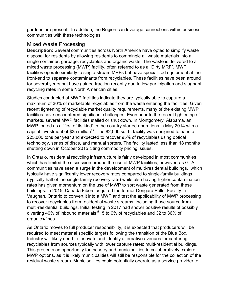gardens are present. In addition, the Region can leverage connections within business communities with these technologies.

### <span id="page-16-0"></span>Mixed Waste Processing

**Description:** Several communities across North America have opted to simplify waste disposal for residents by allowing residents to commingle all waste materials into a single container; garbage, recyclables and organic waste. The waste is delivered to a mixed waste processing (MWP) facility, often referred to as a "Dirty MRF". MWP facilities operate similarly to single-stream MRFs but have specialized equipment at the front-end to separate contaminants from recyclables. These facilities have been around for several years but have gained traction recently due to low participation and stagnant recycling rates in some North American cities.

Studies conducted at MWP facilities indicate they are typically able to capture a maximum of 30% of marketable recyclables from the waste entering the facilities. Given recent tightening of recyclable market quality requirements, many of the existing MWP facilities have encountered significant challenges. Even prior to the recent tightening of markets, several MWP facilities stalled or shut down. In Montgomery, Alabama, an MWP touted as a "first of its kind" in the country started operations in May 2014 with a capital investment of \$35 million<sup>[27](#page-23-26)</sup>. The 82,000 sq. ft. facility was designed to handle 225,000 tons per year and expected to recover 95% of recyclables using optical technology, series of discs, and manual sorters. The facility lasted less than 18 months shutting down in October 2015 citing commodity pricing issues.

In Ontario, residential recycling infrastructure is fairly developed in most communities which has limited the discussion around the use of MWP facilities; however, as GTA communities have seen a surge in the development of multi-residential buildings, which typically have significantly lower recovery rates compared to single-family buildings (typically half of the single-family recovery rate) while also having higher contamination rates has given momentum on the use of MWP to sort waste generated from these buildings. In 2015, Canada Fibers acquired the former Dongara Pellet Facility in Vaughan, Ontario to convert it into a MWP and test the applicability of MWP processing to recover recyclables from residential waste streams, including those source from multi-residential buildings. Initial testing in 2017 had shown positive results of possibly diverting 40% of inbound materials<sup>[28](#page-23-27)</sup>; 5 to 6% of recyclables and 32 to 36% of organics/fines.

As Ontario moves to full producer responsibility, it is expected that producers will be required to meet material specific targets following the transition of the Blue Box. Industry will likely need to innovate and identify alternative avenues for capturing recyclables from sources typically with lower capture rates; multi-residential buildings. This presents an opportunity for industry and municipalities to collaboratively explore MWP options, as it is likely municipalities will still be responsible for the collection of the residual waste stream. Municipalities could potentially operate as a service provider to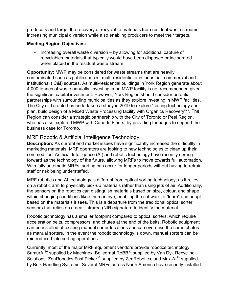producers and target the recovery of recyclable materials from residual waste streams increasing municipal diversion while also enabling producers to meet their targets.

#### **Meeting Region Objectives:**

 $\checkmark$  Increasing overall waste diversion – by allowing for additional capture of recyclables materials that typically would have been disposed or incinerated when placed in the residual waste stream.

**Opportunity:** MWP may be considered for waste streams that are heavily contaminated such as public spaces, multi-residential and industrial, commercial and institutional (IC&I) sources. As multi-residential buildings in York Region generate about 4,000 tonnes of waste annually, investing in an MWP facility is not recommended given the significant capital investment. However, York Region should consider potential partnerships with surrounding municipalities as they explore investing in MWP facilities. The City of Toronto has undertaken a study in 2019 to explore "testing technology and plan, build design of a Mixed Waste Processing facility with Organics Recovery"<sup>[29](#page-23-28)</sup>. The Region can consider a strategic partnership with the City of Toronto or Peel Region, who has also explored MWP with Canada Fibers, by providing tonnages to support the business case for Toronto.

### <span id="page-17-0"></span>MRF Robotic & Artificial Intelligence Technology

**Description:** As current end market issues have significantly increased the difficultly in marketing materials, MRF operators are looking to new technologies to clean up their commodities. Artificial Intelligence (AI) and robotic technology have recently sprung forward as the technology of the future, allowing MRFs to move towards full automation. With fully automatic MRFs, sorting can occur for longer periods without having to retrain staff or risk being understaffed.

MRF robotics and AI technology is different from optical sorting technology, as it relies on a robotic arm to physically pick-up materials rather than using jets of air. Additionally, the sensors on the robotics can distinguish materials based on size, colour, and shape within changing conditions like a human eye, enabling the software to "learn" and adapt based on the materials it sees. This is a departure from the traditional optical sorter sensors that relies on a near-infrared (NIR) signature to identify the material.

Robotic technology has a smaller footprint compared to optical sorters, which require acceleration belts, compressors, and chutes at the end of the belts. Robotic equipment can be installed at existing manual sorter locations and can even use the same chutes as manual sorters. In the event the robotic technology is down, manual sorters can be reintroduced into sorting operations.

Currently, most of the major MRF equipment vendors provide robotics technology; SamurAI<sup>[30](#page-23-29)</sup> supplied by Machinex, Bollegraaf RoBB<sup>[31](#page-23-30)</sup> supplied by Van Dyk Recycling Solutions, ZenRobotics Fast Picker<sup>[32](#page-23-31)</sup> supplied by ZenRobotics, and Max-Al<sup>[33](#page-23-32)</sup> supplied by Bulk Handling Systems. Several MRFs across North America have recently installed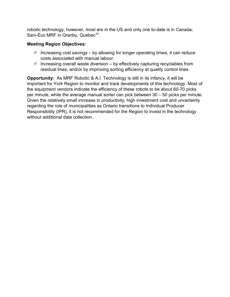robotic technology; however, most are in the US and only one to-date is in Canada; Sani-Éco MRF in Granby, Quebec $34$ .

### **Meeting Region Objectives:**

- $\checkmark$  Increasing cost savings by allowing for longer operating times, it can reduce costs associated with manual labour.
- $\checkmark$  Increasing overall waste diversion by effectively capturing recyclables from residual lines, and/or by improving sorting efficiency at quality control lines.

**Opportunity:** As MRF Robotic & A.I. Technology is still in its infancy, it will be important for York Region to monitor and track developments of this technology. Most of the equipment vendors indicate the efficiency of these robots to be about 60-70 picks per minute, while the average manual sorter can pick between 30 – 50 picks per minute. Given the relatively small increase in productivity, high investment cost and uncertainty regarding the role of municipalities as Ontario transitions to Individual Producer Responsibility (IPR), it is not recommended for the Region to invest in the technology without additional data collection.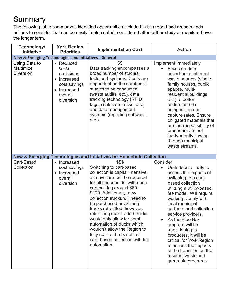# <span id="page-19-0"></span>**Summary**

The following table summarizes identified opportunities included in this report and recommends actions to consider that can be easily implemented, considered after further study or monitored over the longer term.

| Technology/<br><b>Initiative</b>                                 | <b>York Region</b><br><b>Priorities</b>                                                                                          | <b>Implementation Cost</b>                                                                                                                                                                                                                                                                                                                                                                                                                                                                                      | <b>Action</b>                                                                                                                                                                                                                                                                                                                                                                                                                                                              |  |  |  |
|------------------------------------------------------------------|----------------------------------------------------------------------------------------------------------------------------------|-----------------------------------------------------------------------------------------------------------------------------------------------------------------------------------------------------------------------------------------------------------------------------------------------------------------------------------------------------------------------------------------------------------------------------------------------------------------------------------------------------------------|----------------------------------------------------------------------------------------------------------------------------------------------------------------------------------------------------------------------------------------------------------------------------------------------------------------------------------------------------------------------------------------------------------------------------------------------------------------------------|--|--|--|
| <b>New &amp; Emerging Technologies and Initiatives - General</b> |                                                                                                                                  |                                                                                                                                                                                                                                                                                                                                                                                                                                                                                                                 |                                                                                                                                                                                                                                                                                                                                                                                                                                                                            |  |  |  |
| Using Data to<br>Maximize<br><b>Diversion</b>                    | • Reduced<br><b>GHG</b><br>emissions<br>Increased<br>$\bullet$<br>cost savings<br>Increased<br>$\bullet$<br>overall<br>diversion | \$\$<br>Data tracking encompasses a<br>broad number of studies,<br>tools and systems. Costs are<br>dependent on the number of<br>studies to be conducted<br>(waste audits, etc.), data<br>tracking technology (RFID<br>tags, scales on trucks, etc.)<br>and data management<br>systems (reporting software,<br>$etc.$ )                                                                                                                                                                                         | Implement Immediately<br>Focus on data<br>collection at different<br>waste sources (single-<br>family houses, public<br>spaces, multi-<br>residential buildings,<br>etc.) to better<br>understand the<br>composition and<br>capture rates. Ensure<br>obligated materials that<br>are the responsibility of<br>producers are not<br>inadvertently flowing<br>through municipal<br>waste streams.                                                                            |  |  |  |
|                                                                  |                                                                                                                                  | New & Emerging Technologies and Initiatives for Household Collection                                                                                                                                                                                                                                                                                                                                                                                                                                            |                                                                                                                                                                                                                                                                                                                                                                                                                                                                            |  |  |  |
| Cart-Based<br>Collection                                         | • Increased<br>cost savings<br>Increased<br>$\bullet$<br>overall<br>diversion                                                    | \$\$\$<br>Switching to cart-based<br>collection is capital intensive<br>as new carts will be required<br>for all households, with each<br>cart costing around \$80 -<br>\$120. Additionally, new<br>collection trucks will need to<br>be purchased or existing<br>trucks retrofitted; however,<br>retrofitting rear-loaded trucks<br>would only allow for semi-<br>automation of trucks which<br>wouldn't allow the Region to<br>fully realize the benefit of<br>cart=based collection with full<br>automation. | Consider<br>Undertake a study to<br>assess the impacts of<br>switching to a cart-<br>based collection<br>utilizing a utility-based<br>fee model. Will require<br>working closely with<br>local municipal<br>partners and collection<br>service providers.<br>As the Blue Box<br>program will be<br>transitioning to<br>producers, it will be<br>critical for York Region<br>to assess the impacts<br>of the transition on the<br>residual waste and<br>green bin programs. |  |  |  |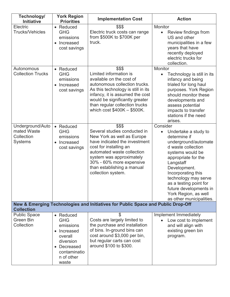| Technology/<br><b>Initiative</b>                                                                      | <b>York Region</b><br><b>Priorities</b>                                                                                                    | <b>Implementation Cost</b>                                                                                                                                                                                                                                                 | <b>Action</b>                                                                                                                                                                                                                                                                                                                             |  |
|-------------------------------------------------------------------------------------------------------|--------------------------------------------------------------------------------------------------------------------------------------------|----------------------------------------------------------------------------------------------------------------------------------------------------------------------------------------------------------------------------------------------------------------------------|-------------------------------------------------------------------------------------------------------------------------------------------------------------------------------------------------------------------------------------------------------------------------------------------------------------------------------------------|--|
| Electric<br><b>Trucks/Vehicles</b>                                                                    | • Reduced<br><b>GHG</b><br>emissions<br>Increased<br>$\bullet$<br>cost savings                                                             | \$\$\$<br>Electric truck costs can range<br>from \$500K to \$700K per<br>truck.                                                                                                                                                                                            | Monitor<br>Review findings from<br>$\bullet$<br>US and other<br>municipalities in a few<br>years that have<br>recently deployed<br>electric trucks for<br>collection.                                                                                                                                                                     |  |
| Autonomous<br><b>Collection Trucks</b>                                                                | • Reduced<br><b>GHG</b><br>emissions<br>Increased<br>cost savings                                                                          | \$\$\$<br>Limited information is<br>available on the cost of<br>autonomous collection trucks.<br>As this technology is still in its<br>infancy, it is assumed the cost<br>would be significantly greater<br>than regular collection trucks<br>which cost $$400K - $500K$ . | Monitor<br>Technology is still in its<br>$\bullet$<br>infancy and being<br>trialed for long haul<br>purposes. York Region<br>should monitor these<br>developments and<br>assess potential<br>impacts to transfer<br>stations if the need<br>arises.                                                                                       |  |
| Underground/Auto<br>mated Waste<br>Collection<br><b>Systems</b>                                       | • Reduced<br><b>GHG</b><br>emissions<br>Increased<br>$\bullet$<br>cost savings                                                             | \$\$\$<br>Several studies conducted in<br>New York as well as Europe<br>have indicated the investment<br>cost for installing an<br>automated waste collection<br>system was approximately<br>30% - 60% more expensive<br>than establishing a manual<br>collection system.  | Consider<br>Undertake a study to<br>$\bullet$<br>determine if<br>underground/automate<br>d waste collection<br>systems would be<br>appropriate for the<br>Langstaff<br>Development.<br>Incorporating this<br>technology may serve<br>as a testing point for<br>future developments in<br>York Region, as well<br>as other municipalities. |  |
| New & Emerging Technologies and Initiatives for Public Space and Public Drop-Off<br><b>Collection</b> |                                                                                                                                            |                                                                                                                                                                                                                                                                            |                                                                                                                                                                                                                                                                                                                                           |  |
| <b>Public Space</b><br><b>Green Bin</b><br>Collection                                                 | • Reduced<br><b>GHG</b><br>emissions<br>Increased<br>$\bullet$<br>overall<br>diversion<br>Decreased<br>contaminatio<br>n of other<br>waste | \$<br>Costs are largely limited to<br>the purchase and installation<br>of bins. In-ground bins can<br>cost around \$3,000 per bin,<br>but regular carts can cost<br>around \$100 to \$300.                                                                                 | Implement Immediately<br>Low cost to implement<br>and will align with<br>existing green bin<br>program.                                                                                                                                                                                                                                   |  |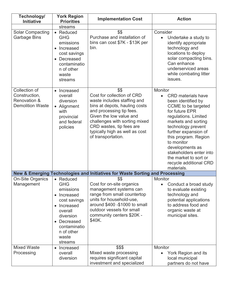| Technology/<br><b>Initiative</b>                                                     | <b>York Region</b><br><b>Priorities</b>                                                                                                                                              | <b>Implementation Cost</b>                                                                                                                                                                                                                                                     | <b>Action</b>                                                                                                                                                                                                                                                                                                                                                             |
|--------------------------------------------------------------------------------------|--------------------------------------------------------------------------------------------------------------------------------------------------------------------------------------|--------------------------------------------------------------------------------------------------------------------------------------------------------------------------------------------------------------------------------------------------------------------------------|---------------------------------------------------------------------------------------------------------------------------------------------------------------------------------------------------------------------------------------------------------------------------------------------------------------------------------------------------------------------------|
|                                                                                      | streams                                                                                                                                                                              |                                                                                                                                                                                                                                                                                |                                                                                                                                                                                                                                                                                                                                                                           |
| <b>Solar Compacting</b><br><b>Garbage Bins</b>                                       | • Reduced<br><b>GHG</b><br>emissions<br>Increased<br>cost savings<br>Decreased<br>$\bullet$<br>contaminatio<br>n of other<br>waste<br>streams                                        | \$\$<br>Purchase and installation of<br>bins can cost \$7K - \$13K per<br>bin.                                                                                                                                                                                                 | Consider<br>Undertake a study to<br>identify appropriate<br>technology and<br>locations to deploy<br>solar compacting bins.<br>Can enhance<br>underserviced areas<br>while combating litter<br>issues.                                                                                                                                                                    |
| Collection of<br>Construction,<br><b>Renovation &amp;</b><br><b>Demolition Waste</b> | Increased<br>$\bullet$<br>overall<br>diversion<br>• Alignment<br>with<br>provincial<br>and federal<br>policies                                                                       | \$\$<br>Cost for collection of CRD<br>waste includes staffing and<br>bins at depots, hauling costs<br>and processing tip fees.<br>Given the low value and<br>challenges with sorting mixed<br>CRD wastes, tip fees are<br>typically high as well as cost<br>of transportation. | <b>Monitor</b><br><b>CRD</b> materials have<br>$\bullet$<br>been identified by<br>CCME to be targeted<br>for future EPR<br>regulations. Limited<br>markets and sorting<br>technology prevent<br>further expansion of<br>this program. Region<br>to monitor<br>developments as<br>stakeholders enter into<br>the market to sort or<br>recycle additional CRD<br>materials. |
|                                                                                      |                                                                                                                                                                                      | New & Emerging Technologies and Initiatives for Waste Sorting and Processing                                                                                                                                                                                                   |                                                                                                                                                                                                                                                                                                                                                                           |
| <b>On-Site Organics</b>                                                              | • Reduced                                                                                                                                                                            | \$\$                                                                                                                                                                                                                                                                           | Monitor                                                                                                                                                                                                                                                                                                                                                                   |
| Management                                                                           | <b>GHG</b><br>emissions<br>Increased<br>$\bullet$<br>cost savings<br>• Increased<br>overall<br>diversion<br>Decreased<br>$\bullet$<br>contaminatio<br>n of other<br>waste<br>streams | Cost for on-site organics<br>management systems can<br>range from small countertop<br>units for household-use,<br>around \$400 -\$1000 to small<br>outdoor vessels for small<br>community centers \$20K -<br>\$40K.                                                            | Conduct a broad study<br>to evaluate existing<br>technology and<br>potential applications<br>to address food and<br>organic waste at<br>municipal sites.                                                                                                                                                                                                                  |
| <b>Mixed Waste</b><br>Processing                                                     | Increased<br>$\bullet$<br>overall<br>diversion                                                                                                                                       | \$\$\$<br>Mixed waste processing<br>requires significant capital<br>investment and specialized                                                                                                                                                                                 | Monitor<br>York Region and its<br>local municipal<br>partners do not have                                                                                                                                                                                                                                                                                                 |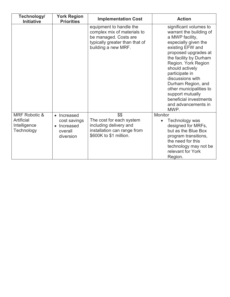| Technology/<br><b>Initiative</b>                                     | <b>York Region</b><br><b>Priorities</b>                                                  | <b>Implementation Cost</b>                                                                                                               | <b>Action</b>                                                                                                                                                                                                                                                                                                                                                                    |
|----------------------------------------------------------------------|------------------------------------------------------------------------------------------|------------------------------------------------------------------------------------------------------------------------------------------|----------------------------------------------------------------------------------------------------------------------------------------------------------------------------------------------------------------------------------------------------------------------------------------------------------------------------------------------------------------------------------|
|                                                                      |                                                                                          | equipment to handle the<br>complex mix of materials to<br>be managed. Costs are<br>typically greater than that of<br>building a new MRF. | significant volumes to<br>warrant the building of<br>a MWP facility,<br>especially given the<br>existing EFW and<br>proposed upgrades at<br>the facility by Durham<br>Region. York Region<br>should actively<br>participate in<br>discussions with<br>Durham Region, and<br>other municipalities to<br>support mutually<br>beneficial investments<br>and advancements in<br>MWP. |
| <b>MRF Robotic &amp;</b><br>Artificial<br>Intelligence<br>Technology | Increased<br>$\bullet$<br>cost savings<br>Increased<br>$\bullet$<br>overall<br>diversion | \$\$<br>The cost for each system<br>including delivery and<br>installation can range from<br>\$600K to \$1 million.                      | Monitor<br>Technology was<br>$\bullet$<br>designed for MRFs,<br>but as the Blue Box<br>program transitions,<br>the need for this<br>technology may not be<br>relevant for York<br>Region.                                                                                                                                                                                        |